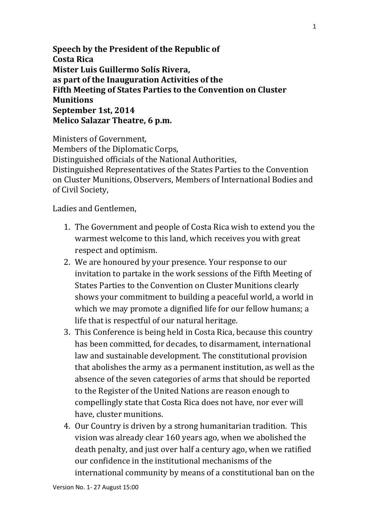**Speech by the President of the Republic of Costa Rica Mister Luis Guillermo Solís Rivera, as part of the Inauguration Activities of the Fifth Meeting of States Parties to the Convention on Cluster Munitions September 1st, 2014 Melico Salazar Theatre, 6 p.m.**

Ministers of Government, Members of the Diplomatic Corps, Distinguished officials of the National Authorities, Distinguished Representatives of the States Parties to the Convention on Cluster Munitions, Observers, Members of International Bodies and of Civil Society,

Ladies and Gentlemen,

- 1. The Government and people of Costa Rica wish to extend you the warmest welcome to this land, which receives you with great respect and optimism.
- 2. We are honoured by your presence. Your response to our invitation to partake in the work sessions of the Fifth Meeting of States Parties to the Convention on Cluster Munitions clearly shows your commitment to building a peaceful world, a world in which we may promote a dignified life for our fellow humans; a life that is respectful of our natural heritage.
- 3. This Conference is being held in Costa Rica, because this country has been committed, for decades, to disarmament, international law and sustainable development. The constitutional provision that abolishes the army as a permanent institution, as well as the absence of the seven categories of arms that should be reported to the Register of the United Nations are reason enough to compellingly state that Costa Rica does not have, nor ever will have, cluster munitions.
- 4. Our Country is driven by a strong humanitarian tradition. This vision was already clear 160 years ago, when we abolished the death penalty, and just over half a century ago, when we ratified our confidence in the institutional mechanisms of the international community by means of a constitutional ban on the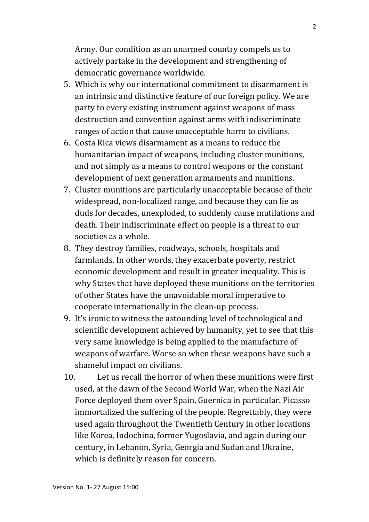Army. Our condition as an unarmed country compels us to actively partake in the development and strengthening of democratic governance worldwide.

- 5. Which is why our international commitment to disarmament is an intrinsic and distinctive feature of our foreign policy. We are party to every existing instrument against weapons of mass destruction and convention against arms with indiscriminate ranges of action that cause unacceptable harm to civilians.
- 6. Costa Rica views disarmament as a means to reduce the humanitarian impact of weapons, including cluster munitions, and not simply as a means to control weapons or the constant development of next generation armaments and munitions.
- 7. Cluster munitions are particularly unacceptable because of their widespread, non-localized range, and because they can lie as duds for decades, unexploded, to suddenly cause mutilations and death. Their indiscriminate effect on people is a threat to our societies as a whole.
- 8. They destroy families, roadways, schools, hospitals and farmlands. In other words, they exacerbate poverty, restrict economic development and result in greater inequality. This is why States that have deployed these munitions on the territories of other States have the unavoidable moral imperative to cooperate internationally in the clean-up process.
- 9. It's ironic to witness the astounding level of technological and scientific development achieved by humanity, yet to see that this very same knowledge is being applied to the manufacture of weapons of warfare. Worse so when these weapons have such a shameful impact on civilians.
- 10. Let us recall the horror of when these munitions were first used, at the dawn of the Second World War, when the Nazi Air Force deployed them over Spain, Guernica in particular. Picasso immortalized the suffering of the people. Regrettably, they were used again throughout the Twentieth Century in other locations like Korea, Indochina, former Yugoslavia, and again during our century, in Lebanon, Syria, Georgia and Sudan and Ukraine, which is definitely reason for concern.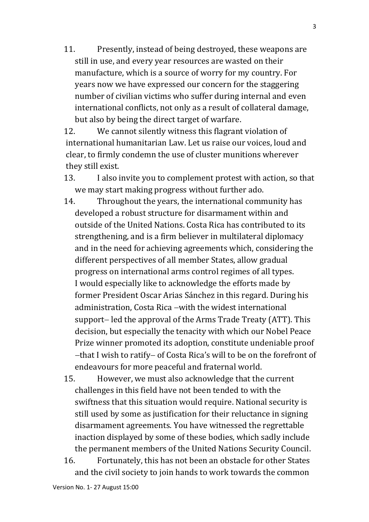11. Presently, instead of being destroyed, these weapons are still in use, and every year resources are wasted on their manufacture, which is a source of worry for my country. For years now we have expressed our concern for the staggering number of civilian victims who suffer during internal and even international conflicts, not only as a result of collateral damage, but also by being the direct target of warfare.

12. We cannot silently witness this flagrant violation of international humanitarian Law. Let us raise our voices, loud and clear, to firmly condemn the use of cluster munitions wherever they still exist.

- 13. I also invite you to complement protest with action, so that we may start making progress without further ado.
- 14. Throughout the years, the international community has developed a robust structure for disarmament within and outside of the United Nations. Costa Rica has contributed to its strengthening, and is a firm believer in multilateral diplomacy and in the need for achieving agreements which, considering the different perspectives of all member States, allow gradual progress on international arms control regimes of all types. I would especially like to acknowledge the efforts made by former President Oscar Arias Sánchez in this regard. During his administration, Costa Rica - with the widest international support-led the approval of the Arms Trade Treaty (ATT). This decision, but especially the tenacity with which our Nobel Peace Prize winner promoted its adoption, constitute undeniable proof -that I wish to ratify- of Costa Rica's will to be on the forefront of endeavours for more peaceful and fraternal world.
- 15. However, we must also acknowledge that the current challenges in this field have not been tended to with the swiftness that this situation would require. National security is still used by some as justification for their reluctance in signing disarmament agreements. You have witnessed the regrettable inaction displayed by some of these bodies, which sadly include the permanent members of the United Nations Security Council.
- 16. Fortunately, this has not been an obstacle for other States and the civil society to join hands to work towards the common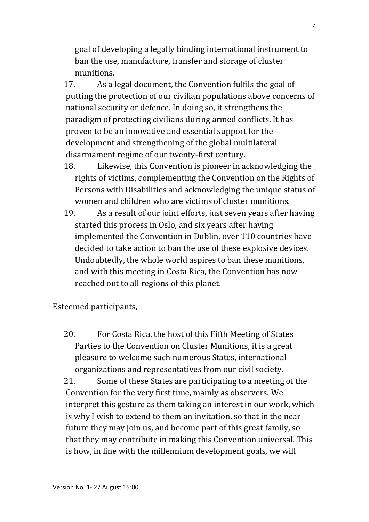goal of developing a legally binding international instrument to ban the use, manufacture, transfer and storage of cluster munitions.

17. As a legal document, the Convention fulfils the goal of putting the protection of our civilian populations above concerns of national security or defence. In doing so, it strengthens the paradigm of protecting civilians during armed conflicts. It has proven to be an innovative and essential support for the development and strengthening of the global multilateral disarmament regime of our twenty-first century.

- 18. Likewise, this Convention is pioneer in acknowledging the rights of victims, complementing the Convention on the Rights of Persons with Disabilities and acknowledging the unique status of women and children who are victims of cluster munitions.
- 19. As a result of our joint efforts, just seven years after having started this process in Oslo, and six years after having implemented the Convention in Dublin, over 110 countries have decided to take action to ban the use of these explosive devices. Undoubtedly, the whole world aspires to ban these munitions, and with this meeting in Costa Rica, the Convention has now reached out to all regions of this planet.

Esteemed participants,

20. For Costa Rica, the host of this Fifth Meeting of States Parties to the Convention on Cluster Munitions, it is a great pleasure to welcome such numerous States, international organizations and representatives from our civil society.

21. Some of these States are participating to a meeting of the Convention for the very first time, mainly as observers. We interpret this gesture as them taking an interest in our work, which is why I wish to extend to them an invitation, so that in the near future they may join us, and become part of this great family, so that they may contribute in making this Convention universal. This is how, in line with the millennium development goals, we will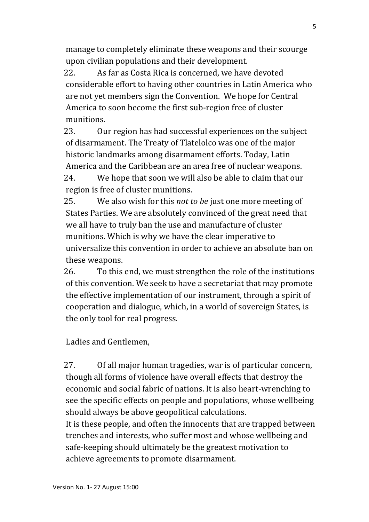manage to completely eliminate these weapons and their scourge upon civilian populations and their development.

22. As far as Costa Rica is concerned, we have devoted considerable effort to having other countries in Latin America who are not yet members sign the Convention. We hope for Central America to soon become the first sub-region free of cluster munitions.

23. Our region has had successful experiences on the subject of disarmament. The Treaty of Tlatelolco was one of the major historic landmarks among disarmament efforts. Today, Latin America and the Caribbean are an area free of nuclear weapons.

24. We hope that soon we will also be able to claim that our region is free of cluster munitions.

25. We also wish for this *not to be* just one more meeting of States Parties. We are absolutely convinced of the great need that we all have to truly ban the use and manufacture of cluster munitions. Which is why we have the clear imperative to universalize this convention in order to achieve an absolute ban on these weapons.

26. To this end, we must strengthen the role of the institutions of this convention. We seek to have a secretariat that may promote the effective implementation of our instrument, through a spirit of cooperation and dialogue, which, in a world of sovereign States, is the only tool for real progress.

Ladies and Gentlemen,

27. Of all major human tragedies, war is of particular concern, though all forms of violence have overall effects that destroy the economic and social fabric of nations. It is also heart-wrenching to see the specific effects on people and populations, whose wellbeing should always be above geopolitical calculations.

It is these people, and often the innocents that are trapped between trenches and interests, who suffer most and whose wellbeing and safe-keeping should ultimately be the greatest motivation to achieve agreements to promote disarmament.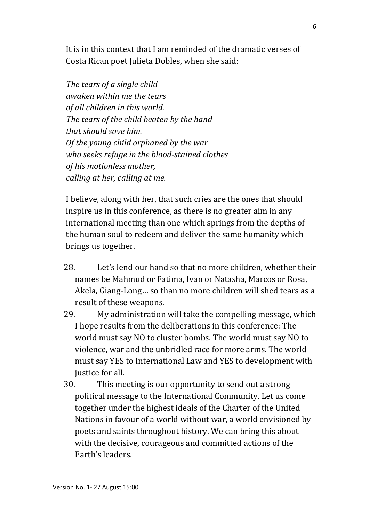It is in this context that I am reminded of the dramatic verses of Costa Rican poet Julieta Dobles, when she said:

*The tears of a single child awaken within me the tears of all children in this world. The tears of the child beaten by the hand that should save him. Of the young child orphaned by the war who seeks refuge in the blood-stained clothes of his motionless mother, calling at her, calling at me.*

I believe, along with her, that such cries are the ones that should inspire us in this conference, as there is no greater aim in any international meeting than one which springs from the depths of the human soul to redeem and deliver the same humanity which brings us together.

- 28. Let's lend our hand so that no more children, whether their names be Mahmud or Fatima, Ivan or Natasha, Marcos or Rosa, Akela, Giang-Long… so than no more children will shed tears as a result of these weapons.
- 29. My administration will take the compelling message, which I hope results from the deliberations in this conference: The world must say NO to cluster bombs. The world must say NO to violence, war and the unbridled race for more arms. The world must say YES to International Law and YES to development with justice for all.
- 30. This meeting is our opportunity to send out a strong political message to the International Community. Let us come together under the highest ideals of the Charter of the United Nations in favour of a world without war, a world envisioned by poets and saints throughout history. We can bring this about with the decisive, courageous and committed actions of the Earth's leaders.